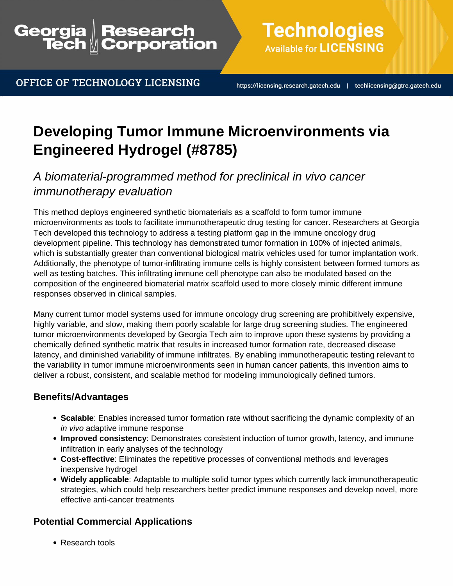## Research<br>Corporation Georgia

OFFICE OF TECHNOLOGY LICENSING

**Technologies Available for LICENSING** 

https://licensing.research.gatech.edu | techlicensing@gtrc.gatech.edu

# **Developing Tumor Immune Microenvironments via Engineered Hydrogel (#8785)**

## A biomaterial-programmed method for preclinical in vivo cancer immunotherapy evaluation

This method deploys engineered synthetic biomaterials as a scaffold to form tumor immune microenvironments as tools to facilitate immunotherapeutic drug testing for cancer. Researchers at Georgia Tech developed this technology to address a testing platform gap in the immune oncology drug development pipeline. This technology has demonstrated tumor formation in 100% of injected animals, which is substantially greater than conventional biological matrix vehicles used for tumor implantation work. Additionally, the phenotype of tumor-infiltrating immune cells is highly consistent between formed tumors as well as testing batches. This infiltrating immune cell phenotype can also be modulated based on the composition of the engineered biomaterial matrix scaffold used to more closely mimic different immune responses observed in clinical samples.

Many current tumor model systems used for immune oncology drug screening are prohibitively expensive, highly variable, and slow, making them poorly scalable for large drug screening studies. The engineered tumor microenvironments developed by Georgia Tech aim to improve upon these systems by providing a chemically defined synthetic matrix that results in increased tumor formation rate, decreased disease latency, and diminished variability of immune infiltrates. By enabling immunotherapeutic testing relevant to the variability in tumor immune microenvironments seen in human cancer patients, this invention aims to deliver a robust, consistent, and scalable method for modeling immunologically defined tumors.

### **Benefits/Advantages**

- **Scalable**: Enables increased tumor formation rate without sacrificing the dynamic complexity of an in vivo adaptive immune response
- **Improved consistency**: Demonstrates consistent induction of tumor growth, latency, and immune infiltration in early analyses of the technology
- **Cost-effective**: Eliminates the repetitive processes of conventional methods and leverages inexpensive hydrogel
- **Widely applicable**: Adaptable to multiple solid tumor types which currently lack immunotherapeutic strategies, which could help researchers better predict immune responses and develop novel, more effective anti-cancer treatments

### **Potential Commercial Applications**

• Research tools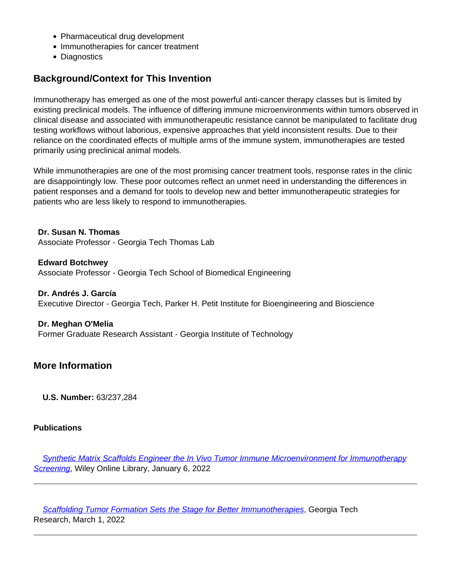- Pharmaceutical drug development
- Immunotherapies for cancer treatment
- Diagnostics

#### **Background/Context for This Invention**

Immunotherapy has emerged as one of the most powerful anti-cancer therapy classes but is limited by existing preclinical models. The influence of differing immune microenvironments within tumors observed in clinical disease and associated with immunotherapeutic resistance cannot be manipulated to facilitate drug testing workflows without laborious, expensive approaches that yield inconsistent results. Due to their reliance on the coordinated effects of multiple arms of the immune system, immunotherapies are tested primarily using preclinical animal models.

While immunotherapies are one of the most promising cancer treatment tools, response rates in the clinic are disappointingly low. These poor outcomes reflect an unmet need in understanding the differences in patient responses and a demand for tools to develop new and better immunotherapeutic strategies for patients who are less likely to respond to immunotherapies.

**Dr. Susan N. Thomas** Associate Professor - Georgia Tech Thomas Lab

**Edward Botchwey** Associate Professor - Georgia Tech School of Biomedical Engineering

**Dr. Andrés J. García** Executive Director - Georgia Tech, Parker H. Petit Institute for Bioengineering and Bioscience

**Dr. Meghan O'Melia** Former Graduate Research Assistant - Georgia Institute of Technology

#### **More Information**

**U.S. Number:** 63/237,284

#### **Publications**

 [Synthetic Matrix Scaffolds Engineer the In Vivo Tumor Immune Microenvironment for Immunotherapy](https://onlinelibrary.wiley.com/doi/10.1002/adma.202108084) [Screening](https://onlinelibrary.wiley.com/doi/10.1002/adma.202108084), Wiley Online Library, January 6, 2022

 [Scaffolding Tumor Formation Sets the Stage for Better Immunotherapies](https://research.gatech.edu/scaffolding-tumor-formation-sets-stage-better-immunotherapies), Georgia Tech Research, March 1, 2022